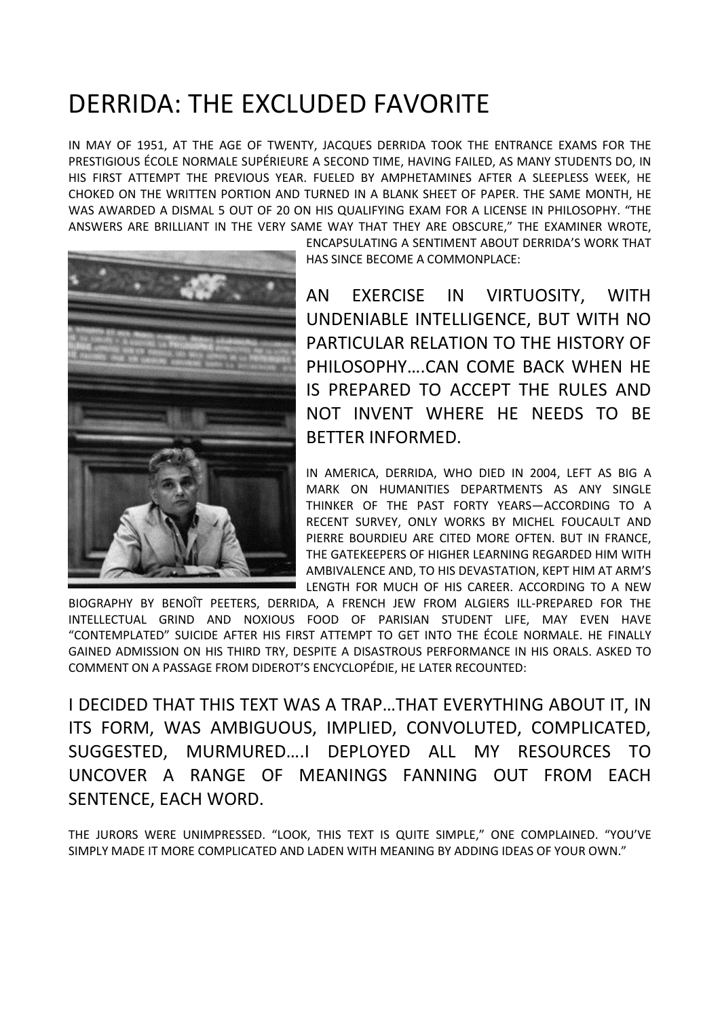## DERRIDA: THE EXCLUDED FAVORITE

IN MAY OF 1951, AT THE AGE OF TWENTY, JACQUES DERRIDA TOOK THE ENTRANCE EXAMS FOR THE PRESTIGIOUS ÉCOLE NORMALE SUPÉRIEURE A SECOND TIME, HAVING FAILED, AS MANY STUDENTS DO, IN HIS FIRST ATTEMPT THE PREVIOUS YEAR. FUELED BY AMPHETAMINES AFTER A SLEEPLESS WEEK, HE CHOKED ON THE WRITTEN PORTION AND TURNED IN A BLANK SHEET OF PAPER. THE SAME MONTH, HE WAS AWARDED A DISMAL 5 OUT OF 20 ON HIS QUALIFYING EXAM FOR A LICENSE IN PHILOSOPHY. "THE ANSWERS ARE BRILLIANT IN THE VERY SAME WAY THAT THEY ARE OBSCURE," THE EXAMINER WROTE,



ENCAPSULATING A SENTIMENT ABOUT DERRIDA'S WORK THAT HAS SINCE BECOME A COMMONPLACE:

AN EXERCISE IN VIRTUOSITY, WITH UNDENIABLE INTELLIGENCE, BUT WITH NO PARTICULAR RELATION TO THE HISTORY OF PHILOSOPHY….CAN COME BACK WHEN HE IS PREPARED TO ACCEPT THE RULES AND NOT INVENT WHERE HE NEEDS TO BE BETTER INFORMED.

IN AMERICA, DERRIDA, WHO DIED IN 2004, LEFT AS BIG A MARK ON HUMANITIES DEPARTMENTS AS ANY SINGLE THINKER OF THE PAST FORTY YEARS—ACCORDING TO A RECENT SURVEY, ONLY WORKS BY MICHEL FOUCAULT AND PIERRE BOURDIEU ARE CITED MORE OFTEN. BUT IN FRANCE, THE GATEKEEPERS OF HIGHER LEARNING REGARDED HIM WITH AMBIVALENCE AND, TO HIS DEVASTATION, KEPT HIM AT ARM'S LENGTH FOR MUCH OF HIS CAREER. ACCORDING TO A NEW

BIOGRAPHY BY BENOÎT PEETERS, DERRIDA, A FRENCH JEW FROM ALGIERS ILL-PREPARED FOR THE INTELLECTUAL GRIND AND NOXIOUS FOOD OF PARISIAN STUDENT LIFE, MAY EVEN HAVE "CONTEMPLATED" SUICIDE AFTER HIS FIRST ATTEMPT TO GET INTO THE ÉCOLE NORMALE. HE FINALLY GAINED ADMISSION ON HIS THIRD TRY, DESPITE A DISASTROUS PERFORMANCE IN HIS ORALS. ASKED TO COMMENT ON A PASSAGE FROM DIDEROT'S ENCYCLOPÉDIE, HE LATER RECOUNTED:

I DECIDED THAT THIS TEXT WAS A TRAP…THAT EVERYTHING ABOUT IT, IN ITS FORM, WAS AMBIGUOUS, IMPLIED, CONVOLUTED, COMPLICATED, SUGGESTED, MURMURED….I DEPLOYED ALL MY RESOURCES TO UNCOVER A RANGE OF MEANINGS FANNING OUT FROM EACH SENTENCE, EACH WORD.

THE JURORS WERE UNIMPRESSED. "LOOK, THIS TEXT IS QUITE SIMPLE," ONE COMPLAINED. "YOU'VE SIMPLY MADE IT MORE COMPLICATED AND LADEN WITH MEANING BY ADDING IDEAS OF YOUR OWN."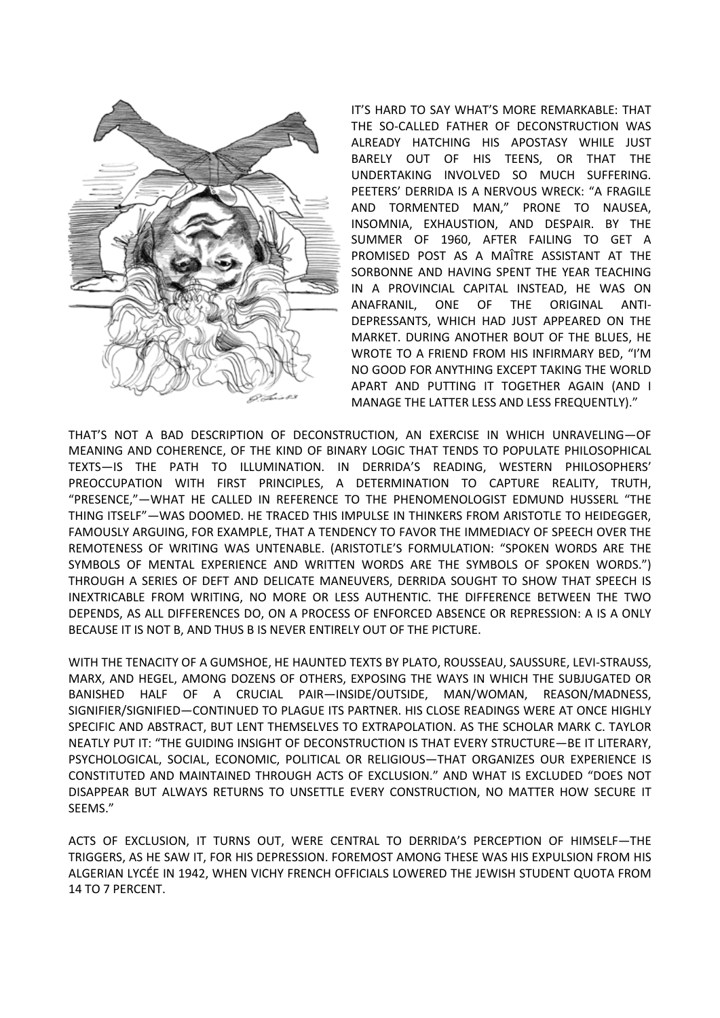

IT'S HARD TO SAY WHAT'S MORE REMARKABLE: THAT THE SO-CALLED FATHER OF DECONSTRUCTION WAS ALREADY HATCHING HIS APOSTASY WHILE JUST BARELY OUT OF HIS TEENS, OR THAT THE UNDERTAKING INVOLVED SO MUCH SUFFERING. PEETERS' DERRIDA IS A NERVOUS WRECK: "A FRAGILE AND TORMENTED MAN," PRONE TO NAUSEA, INSOMNIA, EXHAUSTION, AND DESPAIR. BY THE SUMMER OF 1960, AFTER FAILING TO GET A PROMISED POST AS A MAÎTRE ASSISTANT AT THE SORBONNE AND HAVING SPENT THE YEAR TEACHING IN A PROVINCIAL CAPITAL INSTEAD, HE WAS ON ANAFRANIL, ONE OF THE ORIGINAL ANTI-DEPRESSANTS, WHICH HAD JUST APPEARED ON THE MARKET. DURING ANOTHER BOUT OF THE BLUES, HE WROTE TO A FRIEND FROM HIS INFIRMARY BED, "I'M NO GOOD FOR ANYTHING EXCEPT TAKING THE WORLD APART AND PUTTING IT TOGETHER AGAIN (AND I MANAGE THE LATTER LESS AND LESS FREQUENTLY)."

THAT'S NOT A BAD DESCRIPTION OF DECONSTRUCTION, AN EXERCISE IN WHICH UNRAVELING—OF MEANING AND COHERENCE, OF THE KIND OF BINARY LOGIC THAT TENDS TO POPULATE PHILOSOPHICAL TEXTS—IS THE PATH TO ILLUMINATION. IN DERRIDA'S READING, WESTERN PHILOSOPHERS' PREOCCUPATION WITH FIRST PRINCIPLES, A DETERMINATION TO CAPTURE REALITY, TRUTH, "PRESENCE,"—WHAT HE CALLED IN REFERENCE TO THE PHENOMENOLOGIST EDMUND HUSSERL "THE THING ITSELF"—WAS DOOMED. HE TRACED THIS IMPULSE IN THINKERS FROM ARISTOTLE TO HEIDEGGER, FAMOUSLY ARGUING, FOR EXAMPLE, THAT A TENDENCY TO FAVOR THE IMMEDIACY OF SPEECH OVER THE REMOTENESS OF WRITING WAS UNTENABLE. (ARISTOTLE'S FORMULATION: "SPOKEN WORDS ARE THE SYMBOLS OF MENTAL EXPERIENCE AND WRITTEN WORDS ARE THE SYMBOLS OF SPOKEN WORDS.") THROUGH A SERIES OF DEFT AND DELICATE MANEUVERS, DERRIDA SOUGHT TO SHOW THAT SPEECH IS INEXTRICABLE FROM WRITING, NO MORE OR LESS AUTHENTIC. THE DIFFERENCE BETWEEN THE TWO DEPENDS, AS ALL DIFFERENCES DO, ON A PROCESS OF ENFORCED ABSENCE OR REPRESSION: A IS A ONLY BECAUSE IT IS NOT B, AND THUS B IS NEVER ENTIRELY OUT OF THE PICTURE.

WITH THE TENACITY OF A GUMSHOE, HE HAUNTED TEXTS BY PLATO, ROUSSEAU, SAUSSURE, LEVI-STRAUSS, MARX, AND HEGEL, AMONG DOZENS OF OTHERS, EXPOSING THE WAYS IN WHICH THE SUBJUGATED OR BANISHED HALF OF A CRUCIAL PAIR—INSIDE/OUTSIDE, MAN/WOMAN, REASON/MADNESS, SIGNIFIER/SIGNIFIED—CONTINUED TO PLAGUE ITS PARTNER. HIS CLOSE READINGS WERE AT ONCE HIGHLY SPECIFIC AND ABSTRACT, BUT LENT THEMSELVES TO EXTRAPOLATION. AS THE SCHOLAR MARK C. TAYLOR NEATLY PUT IT: "THE GUIDING INSIGHT OF DECONSTRUCTION IS THAT EVERY STRUCTURE—BE IT LITERARY, PSYCHOLOGICAL, SOCIAL, ECONOMIC, POLITICAL OR RELIGIOUS—THAT ORGANIZES OUR EXPERIENCE IS CONSTITUTED AND MAINTAINED THROUGH ACTS OF EXCLUSION." AND WHAT IS EXCLUDED "DOES NOT DISAPPEAR BUT ALWAYS RETURNS TO UNSETTLE EVERY CONSTRUCTION, NO MATTER HOW SECURE IT SEEMS."

ACTS OF EXCLUSION, IT TURNS OUT, WERE CENTRAL TO DERRIDA'S PERCEPTION OF HIMSELF—THE TRIGGERS, AS HE SAW IT, FOR HIS DEPRESSION. FOREMOST AMONG THESE WAS HIS EXPULSION FROM HIS ALGERIAN LYCÉE IN 1942, WHEN VICHY FRENCH OFFICIALS LOWERED THE JEWISH STUDENT QUOTA FROM 14 TO 7 PERCENT.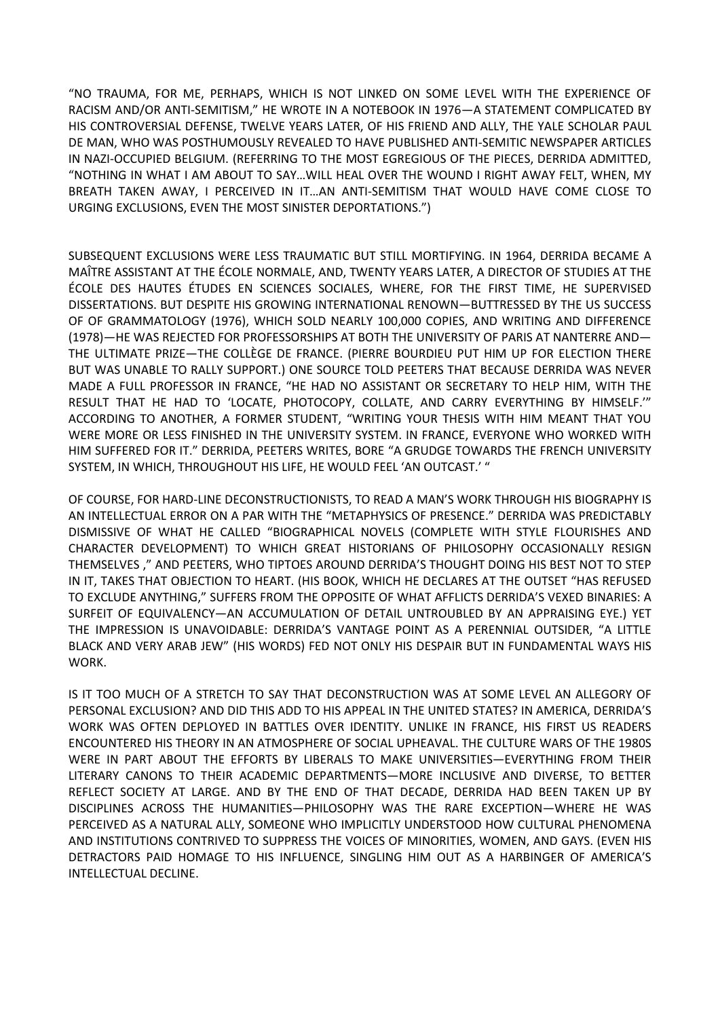"NO TRAUMA, FOR ME, PERHAPS, WHICH IS NOT LINKED ON SOME LEVEL WITH THE EXPERIENCE OF RACISM AND/OR ANTI-SEMITISM," HE WROTE IN A NOTEBOOK IN 1976—A STATEMENT COMPLICATED BY HIS CONTROVERSIAL DEFENSE, TWELVE YEARS LATER, OF HIS FRIEND AND ALLY, THE YALE SCHOLAR PAUL DE MAN, WHO WAS POSTHUMOUSLY REVEALED TO HAVE PUBLISHED ANTI-SEMITIC NEWSPAPER ARTICLES IN NAZI-OCCUPIED BELGIUM. (REFERRING TO THE MOST EGREGIOUS OF THE PIECES, DERRIDA ADMITTED, "NOTHING IN WHAT I AM ABOUT TO SAY…WILL HEAL OVER THE WOUND I RIGHT AWAY FELT, WHEN, MY BREATH TAKEN AWAY, I PERCEIVED IN IT…AN ANTI-SEMITISM THAT WOULD HAVE COME CLOSE TO URGING EXCLUSIONS, EVEN THE MOST SINISTER DEPORTATIONS.")

SUBSEQUENT EXCLUSIONS WERE LESS TRAUMATIC BUT STILL MORTIFYING. IN 1964, DERRIDA BECAME A MAÎTRE ASSISTANT AT THE ÉCOLE NORMALE, AND, TWENTY YEARS LATER, A DIRECTOR OF STUDIES AT THE ÉCOLE DES HAUTES ÉTUDES EN SCIENCES SOCIALES, WHERE, FOR THE FIRST TIME, HE SUPERVISED DISSERTATIONS. BUT DESPITE HIS GROWING INTERNATIONAL RENOWN—BUTTRESSED BY THE US SUCCESS OF OF GRAMMATOLOGY (1976), WHICH SOLD NEARLY 100,000 COPIES, AND WRITING AND DIFFERENCE (1978)—HE WAS REJECTED FOR PROFESSORSHIPS AT BOTH THE UNIVERSITY OF PARIS AT NANTERRE AND— THE ULTIMATE PRIZE—THE COLLÈGE DE FRANCE. (PIERRE BOURDIEU PUT HIM UP FOR ELECTION THERE BUT WAS UNABLE TO RALLY SUPPORT.) ONE SOURCE TOLD PEETERS THAT BECAUSE DERRIDA WAS NEVER MADE A FULL PROFESSOR IN FRANCE, "HE HAD NO ASSISTANT OR SECRETARY TO HELP HIM, WITH THE RESULT THAT HE HAD TO 'LOCATE, PHOTOCOPY, COLLATE, AND CARRY EVERYTHING BY HIMSELF.'" ACCORDING TO ANOTHER, A FORMER STUDENT, "WRITING YOUR THESIS WITH HIM MEANT THAT YOU WERE MORE OR LESS FINISHED IN THE UNIVERSITY SYSTEM. IN FRANCE, EVERYONE WHO WORKED WITH HIM SUFFERED FOR IT." DERRIDA, PEETERS WRITES, BORE "A GRUDGE TOWARDS THE FRENCH UNIVERSITY SYSTEM, IN WHICH, THROUGHOUT HIS LIFE, HE WOULD FEEL 'AN OUTCAST.' "

OF COURSE, FOR HARD-LINE DECONSTRUCTIONISTS, TO READ A MAN'S WORK THROUGH HIS BIOGRAPHY IS AN INTELLECTUAL ERROR ON A PAR WITH THE "METAPHYSICS OF PRESENCE." DERRIDA WAS PREDICTABLY DISMISSIVE OF WHAT HE CALLED "BIOGRAPHICAL NOVELS (COMPLETE WITH STYLE FLOURISHES AND CHARACTER DEVELOPMENT) TO WHICH GREAT HISTORIANS OF PHILOSOPHY OCCASIONALLY RESIGN THEMSELVES ," AND PEETERS, WHO TIPTOES AROUND DERRIDA'S THOUGHT DOING HIS BEST NOT TO STEP IN IT, TAKES THAT OBJECTION TO HEART. (HIS BOOK, WHICH HE DECLARES AT THE OUTSET "HAS REFUSED TO EXCLUDE ANYTHING," SUFFERS FROM THE OPPOSITE OF WHAT AFFLICTS DERRIDA'S VEXED BINARIES: A SURFEIT OF EQUIVALENCY—AN ACCUMULATION OF DETAIL UNTROUBLED BY AN APPRAISING EYE.) YET THE IMPRESSION IS UNAVOIDABLE: DERRIDA'S VANTAGE POINT AS A PERENNIAL OUTSIDER, "A LITTLE BLACK AND VERY ARAB JEW" (HIS WORDS) FED NOT ONLY HIS DESPAIR BUT IN FUNDAMENTAL WAYS HIS WORK.

IS IT TOO MUCH OF A STRETCH TO SAY THAT DECONSTRUCTION WAS AT SOME LEVEL AN ALLEGORY OF PERSONAL EXCLUSION? AND DID THIS ADD TO HIS APPEAL IN THE UNITED STATES? IN AMERICA, DERRIDA'S WORK WAS OFTEN DEPLOYED IN BATTLES OVER IDENTITY. UNLIKE IN FRANCE, HIS FIRST US READERS ENCOUNTERED HIS THEORY IN AN ATMOSPHERE OF SOCIAL UPHEAVAL. THE CULTURE WARS OF THE 1980S WERE IN PART ABOUT THE EFFORTS BY LIBERALS TO MAKE UNIVERSITIES—EVERYTHING FROM THEIR LITERARY CANONS TO THEIR ACADEMIC DEPARTMENTS—MORE INCLUSIVE AND DIVERSE, TO BETTER REFLECT SOCIETY AT LARGE. AND BY THE END OF THAT DECADE, DERRIDA HAD BEEN TAKEN UP BY DISCIPLINES ACROSS THE HUMANITIES—PHILOSOPHY WAS THE RARE EXCEPTION—WHERE HE WAS PERCEIVED AS A NATURAL ALLY, SOMEONE WHO IMPLICITLY UNDERSTOOD HOW CULTURAL PHENOMENA AND INSTITUTIONS CONTRIVED TO SUPPRESS THE VOICES OF MINORITIES, WOMEN, AND GAYS. (EVEN HIS DETRACTORS PAID HOMAGE TO HIS INFLUENCE, SINGLING HIM OUT AS A HARBINGER OF AMERICA'S INTELLECTUAL DECLINE.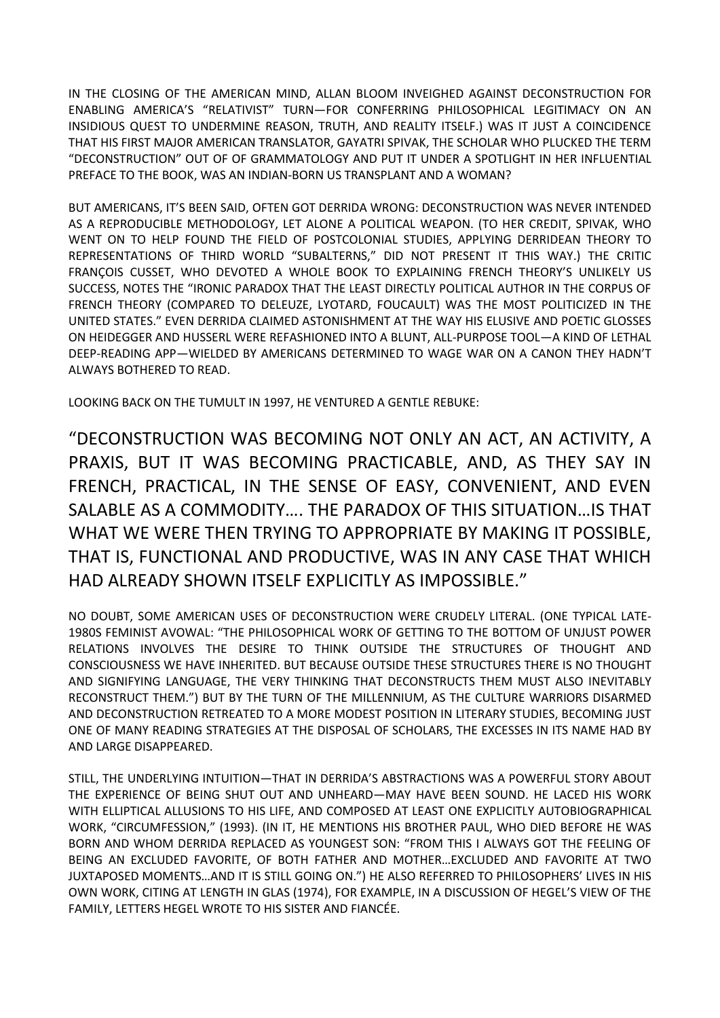IN THE CLOSING OF THE AMERICAN MIND, ALLAN BLOOM INVEIGHED AGAINST DECONSTRUCTION FOR ENABLING AMERICA'S "RELATIVIST" TURN—FOR CONFERRING PHILOSOPHICAL LEGITIMACY ON AN INSIDIOUS QUEST TO UNDERMINE REASON, TRUTH, AND REALITY ITSELF.) WAS IT JUST A COINCIDENCE THAT HIS FIRST MAJOR AMERICAN TRANSLATOR, GAYATRI SPIVAK, THE SCHOLAR WHO PLUCKED THE TERM "DECONSTRUCTION" OUT OF OF GRAMMATOLOGY AND PUT IT UNDER A SPOTLIGHT IN HER INFLUENTIAL PREFACE TO THE BOOK, WAS AN INDIAN-BORN US TRANSPLANT AND A WOMAN?

BUT AMERICANS, IT'S BEEN SAID, OFTEN GOT DERRIDA WRONG: DECONSTRUCTION WAS NEVER INTENDED AS A REPRODUCIBLE METHODOLOGY, LET ALONE A POLITICAL WEAPON. (TO HER CREDIT, SPIVAK, WHO WENT ON TO HELP FOUND THE FIELD OF POSTCOLONIAL STUDIES, APPLYING DERRIDEAN THEORY TO REPRESENTATIONS OF THIRD WORLD "SUBALTERNS," DID NOT PRESENT IT THIS WAY.) THE CRITIC FRANÇOIS CUSSET, WHO DEVOTED A WHOLE BOOK TO EXPLAINING FRENCH THEORY'S UNLIKELY US SUCCESS, NOTES THE "IRONIC PARADOX THAT THE LEAST DIRECTLY POLITICAL AUTHOR IN THE CORPUS OF FRENCH THEORY (COMPARED TO DELEUZE, LYOTARD, FOUCAULT) WAS THE MOST POLITICIZED IN THE UNITED STATES." EVEN DERRIDA CLAIMED ASTONISHMENT AT THE WAY HIS ELUSIVE AND POETIC GLOSSES ON HEIDEGGER AND HUSSERL WERE REFASHIONED INTO A BLUNT, ALL-PURPOSE TOOL—A KIND OF LETHAL DEEP-READING APP—WIELDED BY AMERICANS DETERMINED TO WAGE WAR ON A CANON THEY HADN'T ALWAYS BOTHERED TO READ.

LOOKING BACK ON THE TUMULT IN 1997, HE VENTURED A GENTLE REBUKE:

"DECONSTRUCTION WAS BECOMING NOT ONLY AN ACT, AN ACTIVITY, A PRAXIS, BUT IT WAS BECOMING PRACTICABLE, AND, AS THEY SAY IN FRENCH, PRACTICAL, IN THE SENSE OF EASY, CONVENIENT, AND EVEN SALABLE AS A COMMODITY…. THE PARADOX OF THIS SITUATION…IS THAT WHAT WE WERE THEN TRYING TO APPROPRIATE BY MAKING IT POSSIBLE, THAT IS, FUNCTIONAL AND PRODUCTIVE, WAS IN ANY CASE THAT WHICH HAD ALREADY SHOWN ITSELF EXPLICITLY AS IMPOSSIBLE."

NO DOUBT, SOME AMERICAN USES OF DECONSTRUCTION WERE CRUDELY LITERAL. (ONE TYPICAL LATE-1980S FEMINIST AVOWAL: "THE PHILOSOPHICAL WORK OF GETTING TO THE BOTTOM OF UNJUST POWER RELATIONS INVOLVES THE DESIRE TO THINK OUTSIDE THE STRUCTURES OF THOUGHT AND CONSCIOUSNESS WE HAVE INHERITED. BUT BECAUSE OUTSIDE THESE STRUCTURES THERE IS NO THOUGHT AND SIGNIFYING LANGUAGE, THE VERY THINKING THAT DECONSTRUCTS THEM MUST ALSO INEVITABLY RECONSTRUCT THEM.") BUT BY THE TURN OF THE MILLENNIUM, AS THE CULTURE WARRIORS DISARMED AND DECONSTRUCTION RETREATED TO A MORE MODEST POSITION IN LITERARY STUDIES, BECOMING JUST ONE OF MANY READING STRATEGIES AT THE DISPOSAL OF SCHOLARS, THE EXCESSES IN ITS NAME HAD BY AND LARGE DISAPPEARED.

STILL, THE UNDERLYING INTUITION—THAT IN DERRIDA'S ABSTRACTIONS WAS A POWERFUL STORY ABOUT THE EXPERIENCE OF BEING SHUT OUT AND UNHEARD—MAY HAVE BEEN SOUND. HE LACED HIS WORK WITH ELLIPTICAL ALLUSIONS TO HIS LIFE, AND COMPOSED AT LEAST ONE EXPLICITLY AUTOBIOGRAPHICAL WORK, "CIRCUMFESSION," (1993). (IN IT, HE MENTIONS HIS BROTHER PAUL, WHO DIED BEFORE HE WAS BORN AND WHOM DERRIDA REPLACED AS YOUNGEST SON: "FROM THIS I ALWAYS GOT THE FEELING OF BEING AN EXCLUDED FAVORITE, OF BOTH FATHER AND MOTHER…EXCLUDED AND FAVORITE AT TWO JUXTAPOSED MOMENTS…AND IT IS STILL GOING ON.") HE ALSO REFERRED TO PHILOSOPHERS' LIVES IN HIS OWN WORK, CITING AT LENGTH IN GLAS (1974), FOR EXAMPLE, IN A DISCUSSION OF HEGEL'S VIEW OF THE FAMILY, LETTERS HEGEL WROTE TO HIS SISTER AND FIANCÉE.